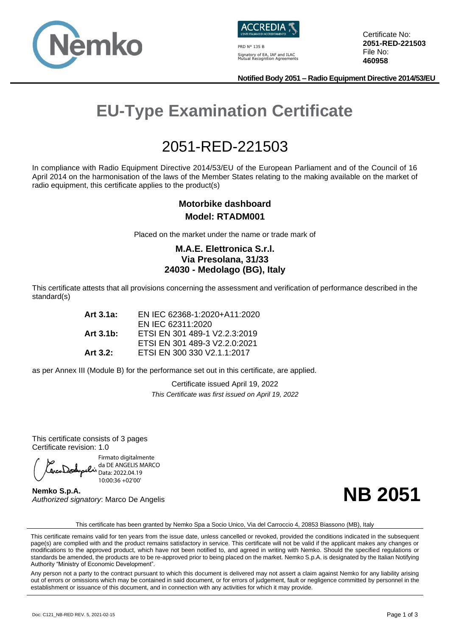



PRD N° 135 B Signatory of EA, IAF and ILAC Mutual Recognition Agreements Certificate No: **2051-RED-221503** File No: **460958**

**Notified Body 2051 – Radio Equipment Directive 2014/53/EU**

# **EU-Type Examination Certificate**

## 2051-RED-221503

In compliance with Radio Equipment Directive 2014/53/EU of the European Parliament and of the Council of 16 April 2014 on the harmonisation of the laws of the Member States relating to the making available on the market of radio equipment, this certificate applies to the product(s)

#### **Motorbike dashboard Model: RTADM001**

Placed on the market under the name or trade mark of

#### **M.A.E. Elettronica S.r.l. Via Presolana, 31/33 24030 - Medolago (BG), Italy**

This certificate attests that all provisions concerning the assessment and verification of performance described in the standard(s)

| Art 3.1a:   | EN IEC 62368-1:2020+A11:2020  |  |
|-------------|-------------------------------|--|
|             | EN IEC 62311:2020             |  |
| Art 3.1b:   | ETSI EN 301 489-1 V2.2.3:2019 |  |
|             | ETSI EN 301 489-3 V2.2.0:2021 |  |
| Art $3.2$ : | ETSI EN 300 330 V2.1.1:2017   |  |

as per Annex III (Module B) for the performance set out in this certificate, are applied.

Certificate issued April 19, 2022 *This Certificate was first issued on April 19, 2022*

This certificate consists of 3 pages Certificate revision: 1.0

Firmato digitalmente da DE ANGELIS MARCO OcoDodypelis da DE ANSELIS. 10:00:36 +02'00'

**Nemko S.p.A.** *Authorized signatory*: Marco De Angelis



This certificate has been granted by Nemko Spa a Socio Unico, Via del Carroccio 4, 20853 Biassono (MB), Italy

This certificate remains valid for ten years from the issue date, unless cancelled or revoked, provided the conditions indicated in the subsequent page(s) are complied with and the product remains satisfactory in service. This certificate will not be valid if the applicant makes any changes or modifications to the approved product, which have not been notified to, and agreed in writing with Nemko. Should the specified regulations or standards be amended, the products are to be re-approved prior to being placed on the market. Nemko S.p.A. is designated by the Italian Notifying Authority "Ministry of Economic Development".

Any person not a party to the contract pursuant to which this document is delivered may not assert a claim against Nemko for any liability arising out of errors or omissions which may be contained in said document, or for errors of judgement, fault or negligence committed by personnel in the establishment or issuance of this document, and in connection with any activities for which it may provide.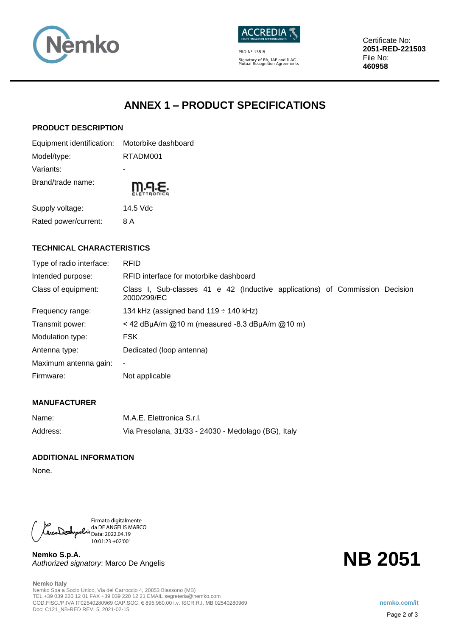



PRD N° 135 B Signatory of EA, IAF and ILAC Mutual Recognition Agreements Certificate No: **2051-RED-221503** File No: **460958**

## **ANNEX 1 – PRODUCT SPECIFICATIONS**

#### **PRODUCT DESCRIPTION**

| Equipment identification: Motorbike dashboard |          |  |
|-----------------------------------------------|----------|--|
| Model/type:                                   | RTADM001 |  |
| Variants:                                     |          |  |
| Brand/trade name:                             | m.q.ɛ.   |  |
| Supply voltage:                               | 14.5 Vdc |  |
| Rated power/current:                          | 8 A      |  |

#### **TECHNICAL CHARACTERISTICS**

| Type of radio interface: | <b>RFID</b>                                                                                 |
|--------------------------|---------------------------------------------------------------------------------------------|
| Intended purpose:        | RFID interface for motorbike dashboard                                                      |
| Class of equipment:      | Class I, Sub-classes 41 e 42 (Inductive applications) of Commission Decision<br>2000/299/EC |
| Frequency range:         | 134 kHz (assigned band $119 \div 140$ kHz)                                                  |
| Transmit power:          | < 42 dBµA/m @10 m (measured -8.3 dBµA/m @10 m)                                              |
| Modulation type:         | <b>FSK</b>                                                                                  |
| Antenna type:            | Dedicated (loop antenna)                                                                    |
| Maximum antenna gain:    | ۰                                                                                           |
| Firmware:                | Not applicable                                                                              |

#### **MANUFACTURER**

| Name:    | M.A.E. Elettronica S.r.I.                           |
|----------|-----------------------------------------------------|
| Address: | Via Presolana, 31/33 - 24030 - Medolago (BG), Italy |

#### **ADDITIONAL INFORMATION**

None.

Firmato digitalmente da DE ANGELIS MARCO Data: 2022.04.19 10:01:23 +02'00'

**Nemko S.p.A.** *Authorized signatory*: Marco De Angelis

**Nemko Italy** Nemko Spa a Socio Unico, Via del Carroccio 4, 20853 Biassono (MB) TEL +39 039 220 12 01 FAX +39 039 220 12 21 EMAIL segreteria@nemko.com COD.FISC./P.IVA IT02540280969 CAP.SOC. € 895.960,00 i.v. ISCR.R.I. MB 02540280969 **nemko.com/it** Doc: C121\_NB-RED REV. 5, 2021-02-15